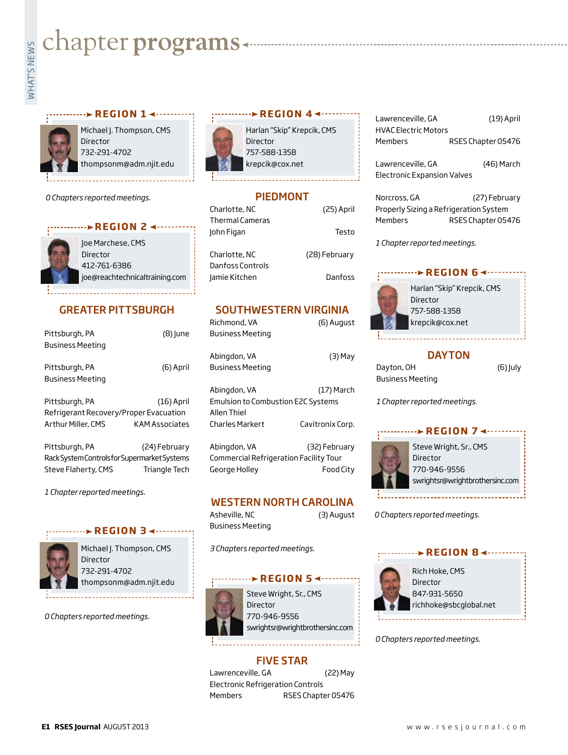# **whater programs**<br>Example:



Michael J. Thompson, CMS Director 732-291-4702 thompsonm@adm.njit.edu

*0 Chapters reported meetings.*



# GREATER PITTSBURGH

| Pittsburgh, PA<br><b>Business Meeting</b>                                      | (8) June                       |
|--------------------------------------------------------------------------------|--------------------------------|
| Pittsburgh, PA<br><b>Business Meeting</b>                                      | (6) April                      |
| Pittsburgh, PA<br>Refrigerant Recovery/Proper Evacuation<br>Arthur Miller, CMS | $(16)$ April<br>KAM Associates |
| Pittsburgh, PA<br>Rack System Controls for Supermarket Systems                 | (24) February                  |
| Steve Flaherty, CMS                                                            | Triangle Tech                  |

*1 Chapter reported meetings.*



Michael J. Thompson, CMS Director 732-291-4702 thompsonm@adm.njit.edu

**REGION 34 --------**

*0 Chapters reported meetings.*





# PIEDMONT

| Charlotte, NC    | (25) April    |
|------------------|---------------|
| Thermal Cameras  |               |
| John Figan       | Testo         |
|                  |               |
| Charlotte, NC    | (28) February |
| Danfoss Controls |               |
| Jamie Kitchen    | Danfoss       |
|                  |               |

# SOUTHWESTERN VIRGINIA

Richmond, VA (6) August Business Meeting

Abingdon, VA (3) May Business Meeting

Abingdon, VA (17) March Emulsion to Combustion E2C Systems Allen Thiel Charles Markert Cavitronix Corp.

Abingdon, VA (32) February Commercial Refrigeration Facility Tour George Holley Food City

# WESTERN NORTH CAROLINA

Asheville, NC (3) August Business Meeting

*3 Chapters reported meetings.*

#### *REGION 5* ∡……



Steve Wright, Sr., CMS Director 770-946-9556 swrightsr@wrightbrothersinc.com

# FIVE STAR

Lawrenceville, GA (22) May Electronic Refrigeration Controls Members RSES Chapter 05476

Lawrenceville, GA (19) April HVAC Electric Motors Members RSES Chapter 05476

Lawrenceville, GA (46) March Electronic Expansion Valves

Norcross, GA (27) February Properly Sizing a Refrigeration System Members RSES Chapter 05476

*1 Chapter reported meetings.*



Harlan "Skip" Krepcik, CMS **Director** 757-588-1358 krepcik@cox.net

# **DAYTON**

Dayton, OH (6) July Business Meeting

*1 Chapter reported meetings.*



Director 770-946-9556 swrightsr@wrightbrothersinc.com

*0 Chapters reported meetings.*



*0 Chapters reported meetings.*